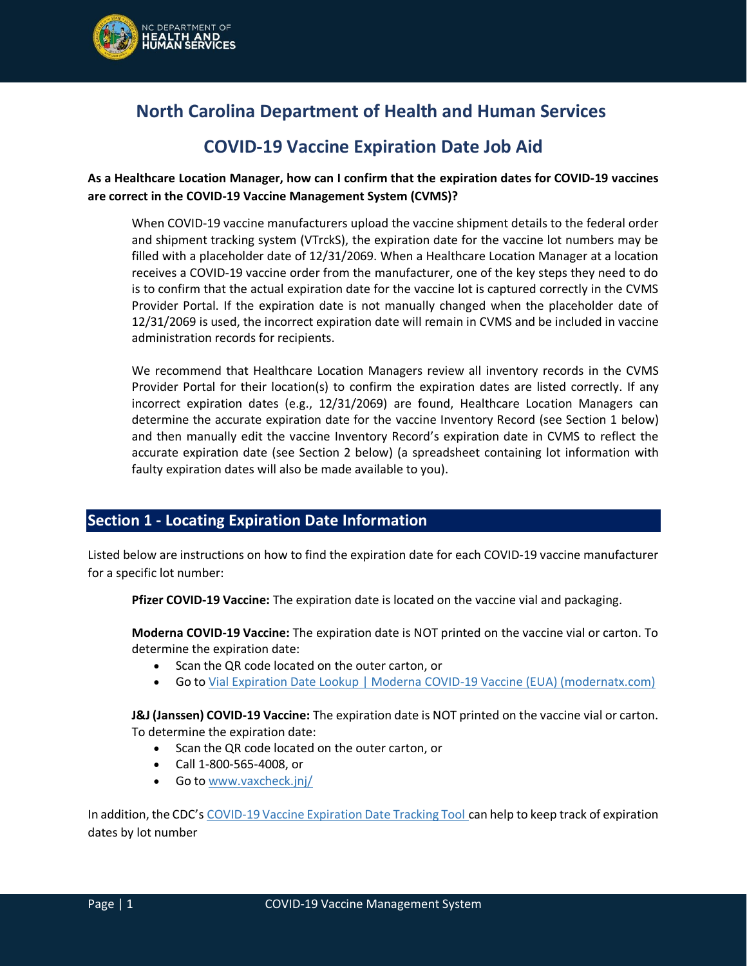

# **North Carolina Department of Health and Human Services**

## **COVID-19 Vaccine Expiration Date Job Aid**

#### **As a Healthcare Location Manager, how can I confirm that the expiration dates for COVID-19 vaccines are correct in the COVID-19 Vaccine Management System (CVMS)?**

When COVID-19 vaccine manufacturers upload the vaccine shipment details to the federal order and shipment tracking system (VTrckS), the expiration date for the vaccine lot numbers may be filled with a placeholder date of 12/31/2069. When a Healthcare Location Manager at a location receives a COVID-19 vaccine order from the manufacturer, one of the key steps they need to do is to confirm that the actual expiration date for the vaccine lot is captured correctly in the CVMS Provider Portal. If the expiration date is not manually changed when the placeholder date of 12/31/2069 is used, the incorrect expiration date will remain in CVMS and be included in vaccine administration records for recipients.

We recommend that Healthcare Location Managers review all inventory records in the CVMS Provider Portal for their location(s) to confirm the expiration dates are listed correctly. If any incorrect expiration dates (e.g., 12/31/2069) are found, Healthcare Location Managers can determine the accurate expiration date for the vaccine Inventory Record (see Section 1 below) and then manually edit the vaccine Inventory Record's expiration date in CVMS to reflect the accurate expiration date (see Section 2 below) (a spreadsheet containing lot information with faulty expiration dates will also be made available to you).

#### **Section 1 - Locating Expiration Date Information**

Listed below are instructions on how to find the expiration date for each COVID-19 vaccine manufacturer for a specific lot number:

**Pfizer COVID-19 Vaccine:** The expiration date is located on the vaccine vial and packaging.

**Moderna COVID-19 Vaccine:** The expiration date is NOT printed on the vaccine vial or carton. To determine the expiration date:

- Scan the QR code located on the outer carton, or
- Go to [Vial Expiration Date Lookup | Moderna COVID-19 Vaccine \(EUA\) \(modernatx.com\)](https://www.modernatx.com/covid19vaccine-eua/providers/vial-lookup#vialLookUpTool)

**J&J (Janssen) COVID-19 Vaccine:** The expiration date is NOT printed on the vaccine vial or carton. To determine the expiration date:

- Scan the QR code located on the outer carton, or
- Call 1-800-565-4008, or
- Go to [www.vaxcheck.jnj/](https://urldefense.com/v3/__http:/www.vaxcheck.jnj/__;!!HYmSToo!IyJmvbHCoR8NVD_OHFLnMdVLbArVhJCG0B6yBmuQzI92rv-62wPsWR_h3tEu28RqsMJ_Ykc$)

In addition, the CDC's [COVID-19 Vaccine Expiration Date Tracking Tool](https://www.cdc.gov/vaccines/covid-19/downloads/expiration-tracker.pdf) can help to keep track of expiration dates by lot number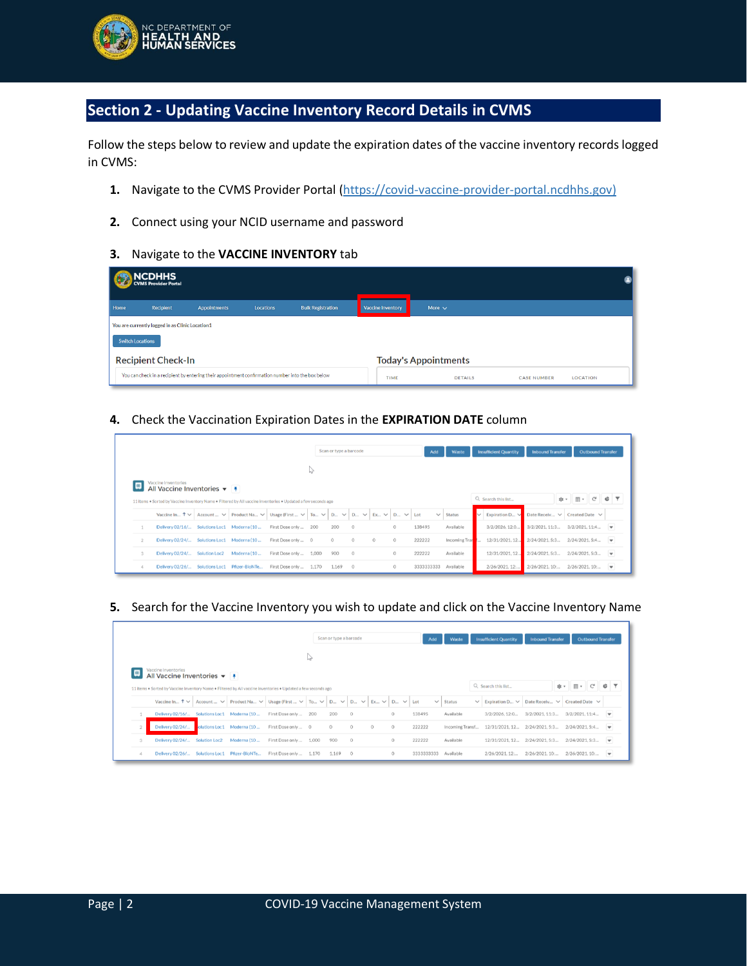

### **Section 2 - Updating Vaccine Inventory Record Details in CVMS**

Follow the steps below to review and update the expiration dates of the vaccine inventory records logged in CVMS:

- 1. Navigate to the CVMS Provider Portal [\(https://covid-vaccine-provider-portal.ncdhhs.gov\)](https://covid-vaccine-provider-portal.ncdhhs.gov/)
- **2.** Connect using your NCID username and password
- **3.** Navigate to the **VACCINE INVENTORY** tab

|      | NCDHHS<br>CVMS Provider Portal                  |                                                                                                   |                  |                          |  |                          |                             |                    |                 |  |  |  |  |
|------|-------------------------------------------------|---------------------------------------------------------------------------------------------------|------------------|--------------------------|--|--------------------------|-----------------------------|--------------------|-----------------|--|--|--|--|
| Home | Recipient                                       | <b>Appointments</b>                                                                               | <b>Locations</b> | <b>Bulk Registration</b> |  | <b>Vaccine Inventory</b> | More $\sim$                 |                    |                 |  |  |  |  |
|      | You are currently logged in as Clinic Location1 |                                                                                                   |                  |                          |  |                          |                             |                    |                 |  |  |  |  |
|      | <b>Switch Locations</b>                         |                                                                                                   |                  |                          |  |                          |                             |                    |                 |  |  |  |  |
|      | <b>Recipient Check-In</b>                       |                                                                                                   |                  |                          |  |                          | <b>Today's Appointments</b> |                    |                 |  |  |  |  |
|      |                                                 | You can check in a recipient by entering their appointment confirmation number into the box below |                  |                          |  | TIME                     | <b>DETAILS</b>              | <b>CASE NUMBER</b> | <b>LOCATION</b> |  |  |  |  |

**4.** Check the Vaccination Expiration Dates in the **EXPIRATION DATE** column

|                                                                                                                                                                 |                                            |  |             |                                                                                                                                     |   | Scan or type a barcode |         |         |         | Add    | Waste                   |              | <b>Insufficient Quantity</b> | <b>Inbound Transfer</b>                      |  | <b>Outbound Transfer</b> |                          |  |
|-----------------------------------------------------------------------------------------------------------------------------------------------------------------|--------------------------------------------|--|-------------|-------------------------------------------------------------------------------------------------------------------------------------|---|------------------------|---------|---------|---------|--------|-------------------------|--------------|------------------------------|----------------------------------------------|--|--------------------------|--------------------------|--|
|                                                                                                                                                                 |                                            |  |             |                                                                                                                                     | ↳ |                        |         |         |         |        |                         |              |                              |                                              |  |                          |                          |  |
| Vaccine Inventories<br>Q Search this list<br>G<br>11 Items . Sorted by Vaccine Inventory Name . Filtered by All vaccine inventories . Updated a few seconds ago |                                            |  |             |                                                                                                                                     |   |                        |         |         |         |        |                         |              |                              |                                              |  |                          |                          |  |
|                                                                                                                                                                 |                                            |  |             | Vaccine In $\uparrow \vee$ Account $\vee$ Product Na $\vee$ Usage (First $\vee$ To $\vee$ D $\vee$ D $\vee$ Ex $\vee$ D $\vee$ LEV. |   |                        |         |         |         |        | <b>Status</b><br>$\vee$ | $\checkmark$ | Expiration D $\vee$          | Date Receiv $\forall$ Created Date $\forall$ |  |                          |                          |  |
|                                                                                                                                                                 | Delivery 02/16/ Solutions Loc1 Moderna (10 |  |             | First Dose only  200                                                                                                                |   | 200                    | $\circ$ |         | $\circ$ | 138495 | Available               |              | 3/2/2026, 12:0               | 3/2/2021.11:3 3/2/2021.11:4                  |  |                          |                          |  |
|                                                                                                                                                                 | Delivery 02/24/ Solutions Loc1 Moderna (10 |  |             | First Dose only  0                                                                                                                  |   | $\circ$                | $\circ$ | $\circ$ | $\circ$ | 222222 | Incoming Tran           |              | 12/31/2021.12                | 2/24/2021, 5:3 2/24/2021, 5:4                |  |                          | $\overline{\phantom{a}}$ |  |
|                                                                                                                                                                 |                                            |  |             |                                                                                                                                     |   | 900                    | $\circ$ |         | $\circ$ | 222222 | Available               |              | 12/31/2021.12                | 2/24/2021.5:3                                |  | 2/24/2021, 5:3           | $\blacktriangledown$     |  |
|                                                                                                                                                                 | Delivery 02/24/ Solution Loc2              |  | Moderna (10 | First Dose only  1,000                                                                                                              |   |                        |         |         |         |        |                         |              |                              |                                              |  |                          |                          |  |

**5.** Search for the Vaccine Inventory you wish to update and click on the Vaccine Inventory Name

|                                                                       |                                                                                                               |                            |                           |                                                 |       | Scan or type a barcode                                                               |         |         |         | Add          | Waste           | <b>Insufficient Quantity</b>                  | <b>Inbound Transfer</b> |     |                            | <b>Outbound Transfer</b> |                          |
|-----------------------------------------------------------------------|---------------------------------------------------------------------------------------------------------------|----------------------------|---------------------------|-------------------------------------------------|-------|--------------------------------------------------------------------------------------|---------|---------|---------|--------------|-----------------|-----------------------------------------------|-------------------------|-----|----------------------------|--------------------------|--------------------------|
|                                                                       |                                                                                                               |                            |                           |                                                 | ↳     |                                                                                      |         |         |         |              |                 |                                               |                         |     |                            |                          |                          |
| Vaccine Inventories<br>All Vaccine Inventories $\blacktriangledown$ # |                                                                                                               |                            |                           |                                                 |       |                                                                                      |         |         |         |              |                 |                                               |                         |     |                            |                          |                          |
|                                                                       | 11 Items . Sorted by Vaccine Inventory Name . Filtered by All vaccine Inventories . Updated a few seconds ago |                            |                           |                                                 |       |                                                                                      |         |         |         |              |                 | Q. Search this list                           |                         | 琼 - | $\mathbb{E}[\mathbb{R}^d]$ | G                        | ¢                        |
|                                                                       | Vaccine In $\uparrow \vee$ Account $\vee$                                                                     |                            |                           | Product Na $\vee$ Usage (First $\vee$ To $\vee$ |       | $D_{\cdots}$ $\vee$ $D_{\cdots}$ $\vee$ $E_{x\cdots}$ $\vee$ $D_{\cdots}$ $\vee$ Lot |         |         |         | $\checkmark$ | <b>Status</b>   | $\vee$ Expiration D $\vee$ Date Receiv $\vee$ |                         |     | Created Date $\forall$     |                          |                          |
|                                                                       | Delivery 02/16/                                                                                               | Solutions Loc1 Moderna (10 |                           | First Dose only  200                            |       | 200                                                                                  | $\circ$ |         | $\circ$ | 138495       | Available       | 3/2/2026, 12:0                                | 3/2/2021.11:3           |     | 3/2/2021, 11:4             |                          |                          |
|                                                                       |                                                                                                               |                            |                           |                                                 |       |                                                                                      |         |         |         |              |                 |                                               |                         |     |                            |                          |                          |
|                                                                       | Delivery 02/24/                                                                                               |                            | olutions Loc1 Moderna (10 | First Dose only  0                              |       | $\circ$                                                                              | $\circ$ | $\circ$ | $\circ$ | 222222       | Incoming Transf | 12/31/2021.12 2/24/2021.5:3 2/24/2021.5:4     |                         |     |                            |                          | $\overline{\phantom{a}}$ |
|                                                                       | Delivery 02/24/                                                                                               | <b>Solution Loc2</b>       | Moderna (10               | First Dose only                                 | 1,000 | 900                                                                                  | $\circ$ |         | $\circ$ | 222222       | Available       | 12/31/2021.12                                 | 2/24/2021.5:3           |     | 2/24/2021.5:3              |                          | $\blacktriangledown$     |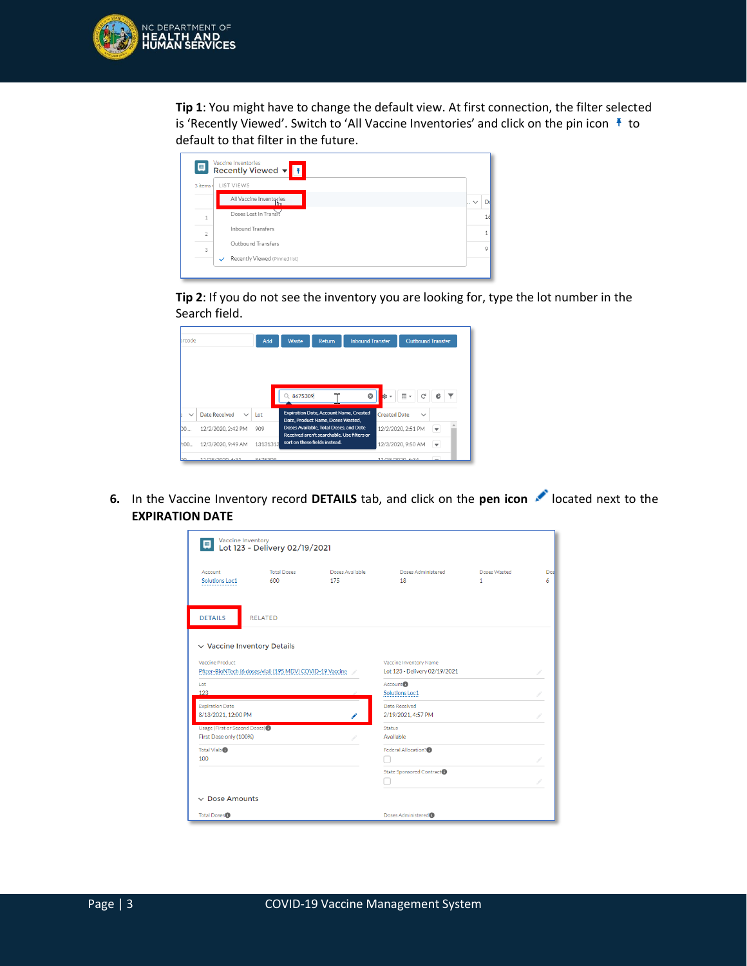

**Tip 1**: You might have to change the default view. At first connection, the filter selected is 'Recently Viewed'. Switch to 'All Vaccine Inventories' and click on the pin icon  $\bar{f}$  to default to that filter in the future.

| 3 items        | LIST VIEWS                    |                     |
|----------------|-------------------------------|---------------------|
|                | All Vaccine Inventories<br>lm | D<br>$\cdot$ $\vee$ |
| $\mathbf{1}$   | Doses Lost In Transit         |                     |
| $\overline{2}$ | <b>Inhound Transfers</b>      |                     |
|                | Outbound Transfers            |                     |

**Tip 2**: If you do not see the inventory you are looking for, type the lot number in the Search field.

| arcode       |                               | Add      | Waste     | <b>Inbound Transfer</b><br>Return                                                    |                       |                               | <b>Outbound Transfer</b> |                          |  |
|--------------|-------------------------------|----------|-----------|--------------------------------------------------------------------------------------|-----------------------|-------------------------------|--------------------------|--------------------------|--|
|              |                               |          |           |                                                                                      |                       |                               |                          |                          |  |
|              |                               |          | Q 8675309 |                                                                                      | $\boldsymbol{\Omega}$ | ¢<br>$\overline{\phantom{a}}$ | 田,<br>G                  | ¢                        |  |
| $\checkmark$ | Date Received<br>$\checkmark$ | Lot      |           | <b>Expiration Date, Account Name, Created</b><br>Date, Product Name, Doses Wasted,   |                       | <b>Created Date</b>           | $\checkmark$             |                          |  |
| <b>bo</b>    | 12/2/2020, 2:42 PM            | 909      |           | Doses Available, Total Doses, and Date<br>Received aren't searchable. Use filters or |                       |                               | 12/2/2020, 2:51 PM       | $\overline{\phantom{a}}$ |  |
| :00          | 12/3/2020, 9:49 AM            | 13131313 |           | sort on these fields instead.                                                        |                       |                               | 12/3/2020, 9:50 AM       | $\overline{\phantom{a}}$ |  |
| hn           | 11/28/2020 6:31               | 8675309  |           |                                                                                      |                       | 11/28/2020 6:34               |                          |                          |  |

**6.** In the Vaccine Inventory record **DETAILS** tab, and click on the **pen icon** located next to the **EXPIRATION DATE**

| <b>Vaccine Inventory</b>          | $\begin{array}{ c c c c }\n\hline\n\end{array}$ Lot 123 - Delivery 02/19/2021 |                 |                                  |              |     |
|-----------------------------------|-------------------------------------------------------------------------------|-----------------|----------------------------------|--------------|-----|
| Account                           | <b>Total Doses</b>                                                            | Doses Available | Doses Administered               | Doses Wasted | Dos |
| Solutions Loc1                    | 600                                                                           | 175             | 18                               | 1            | 6.  |
| <b>DETAILS</b>                    | <b>RELATED</b>                                                                |                 |                                  |              |     |
| $\vee$ Vaccine Inventory Details  |                                                                               |                 |                                  |              |     |
| Vaccine Product                   |                                                                               |                 | Vaccine Inventory Name           |              |     |
|                                   | Pfizer-BioNTech (6 doses/vial) (195 MDV) COVID-19 Vaccine                     |                 | Lot 123 - Delivery 02/19/2021    |              |     |
| Lot                               |                                                                               |                 | Account <sup>1</sup>             |              |     |
| 123                               |                                                                               |                 | Solutions Loc1                   |              |     |
| <b>Expiration Date</b>            |                                                                               |                 | Date Received                    |              |     |
| 8/13/2021. 12:00 PM               |                                                                               |                 | 2/19/2021.4:57 PM                |              |     |
| Usage (First or Second Doses) (1) |                                                                               |                 | <b>Status</b>                    |              |     |
| First Dose only (100%)            |                                                                               |                 | Available                        |              |     |
| Total Vials <sup>®</sup>          |                                                                               |                 | Federal Allocation? <sup>0</sup> |              |     |
| 100                               |                                                                               |                 |                                  |              |     |
|                                   |                                                                               |                 | State Sponsored Contract         |              |     |
|                                   |                                                                               |                 |                                  |              |     |
| $\vee$ Dose Amounts               |                                                                               |                 |                                  |              |     |
| <b>Total Doses</b>                |                                                                               |                 | Doses Administered <sup>®</sup>  |              |     |